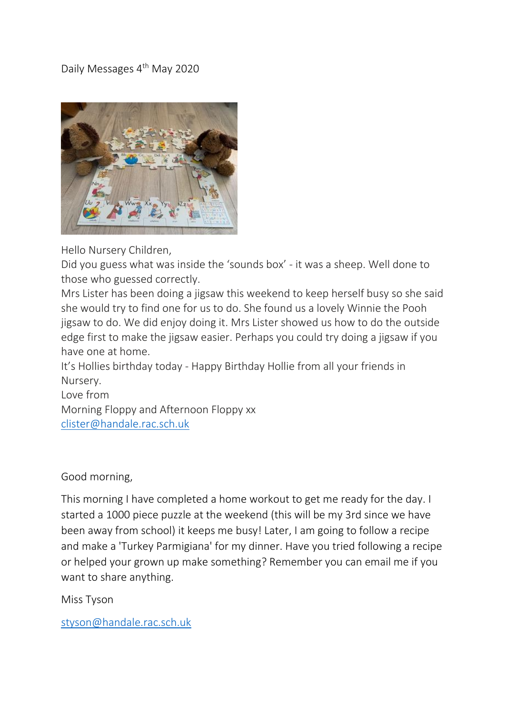## Daily Messages 4<sup>th</sup> May 2020



Hello Nursery Children,

Did you guess what was inside the 'sounds box' - it was a sheep. Well done to those who guessed correctly.

Mrs Lister has been doing a jigsaw this weekend to keep herself busy so she said she would try to find one for us to do. She found us a lovely Winnie the Pooh jigsaw to do. We did enjoy doing it. Mrs Lister showed us how to do the outside edge first to make the jigsaw easier. Perhaps you could try doing a jigsaw if you have one at home.

It's Hollies birthday today - Happy Birthday Hollie from all your friends in Nursery.

Love from Morning Floppy and Afternoon Floppy xx [clister@handale.rac.sch.uk](mailto:clister@handale.rac.sch.uk)

Good morning,

This morning I have completed a home workout to get me ready for the day. I started a 1000 piece puzzle at the weekend (this will be my 3rd since we have been away from school) it keeps me busy! Later, I am going to follow a recipe and make a 'Turkey Parmigiana' for my dinner. Have you tried following a recipe or helped your grown up make something? Remember you can email me if you want to share anything.

Miss Tyson

[styson@handale.rac.sch.uk](mailto:styson@handale.rac.sch.uk)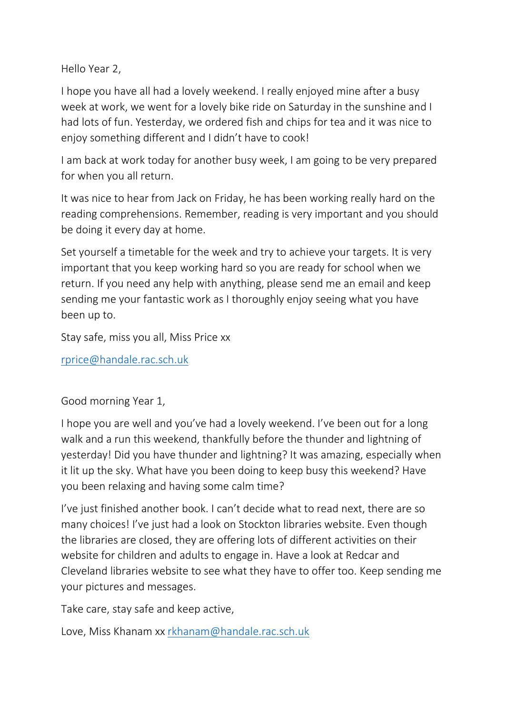Hello Year 2,

I hope you have all had a lovely weekend. I really enjoyed mine after a busy week at work, we went for a lovely bike ride on Saturday in the sunshine and I had lots of fun. Yesterday, we ordered fish and chips for tea and it was nice to enjoy something different and I didn't have to cook!

I am back at work today for another busy week, I am going to be very prepared for when you all return.

It was nice to hear from Jack on Friday, he has been working really hard on the reading comprehensions. Remember, reading is very important and you should be doing it every day at home.

Set yourself a timetable for the week and try to achieve your targets. It is very important that you keep working hard so you are ready for school when we return. If you need any help with anything, please send me an email and keep sending me your fantastic work as I thoroughly enjoy seeing what you have been up to.

Stay safe, miss you all, Miss Price xx

[rprice@handale.rac.sch.uk](mailto:rprice@handale.rac.sch.uk)

Good morning Year 1,

I hope you are well and you've had a lovely weekend. I've been out for a long walk and a run this weekend, thankfully before the thunder and lightning of yesterday! Did you have thunder and lightning? It was amazing, especially when it lit up the sky. What have you been doing to keep busy this weekend? Have you been relaxing and having some calm time?

I've just finished another book. I can't decide what to read next, there are so many choices! I've just had a look on Stockton libraries website. Even though the libraries are closed, they are offering lots of different activities on their website for children and adults to engage in. Have a look at Redcar and Cleveland libraries website to see what they have to offer too. Keep sending me your pictures and messages.

Take care, stay safe and keep active,

Love, Miss Khanam xx [rkhanam@handale.rac.sch.uk](mailto:rkhanam@handale.rac.sch.uk)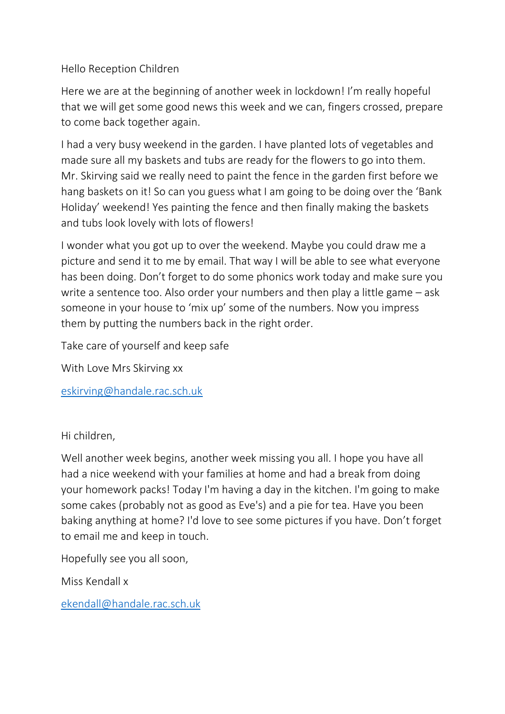## Hello Reception Children

Here we are at the beginning of another week in lockdown! I'm really hopeful that we will get some good news this week and we can, fingers crossed, prepare to come back together again.

I had a very busy weekend in the garden. I have planted lots of vegetables and made sure all my baskets and tubs are ready for the flowers to go into them. Mr. Skirving said we really need to paint the fence in the garden first before we hang baskets on it! So can you guess what I am going to be doing over the 'Bank Holiday' weekend! Yes painting the fence and then finally making the baskets and tubs look lovely with lots of flowers!

I wonder what you got up to over the weekend. Maybe you could draw me a picture and send it to me by email. That way I will be able to see what everyone has been doing. Don't forget to do some phonics work today and make sure you write a sentence too. Also order your numbers and then play a little game – ask someone in your house to 'mix up' some of the numbers. Now you impress them by putting the numbers back in the right order.

Take care of yourself and keep safe

With Love Mrs Skirving xx

[eskirving@handale.rac.sch.uk](mailto:eskirving@handale.rac.sch.uk)

Hi children,

Well another week begins, another week missing you all. I hope you have all had a nice weekend with your families at home and had a break from doing your homework packs! Today I'm having a day in the kitchen. I'm going to make some cakes (probably not as good as Eve's) and a pie for tea. Have you been baking anything at home? I'd love to see some pictures if you have. Don't forget to email me and keep in touch.

Hopefully see you all soon,

Miss Kendall x

[ekendall@handale.rac.sch.uk](mailto:ekendall@handale.rac.sch.uk)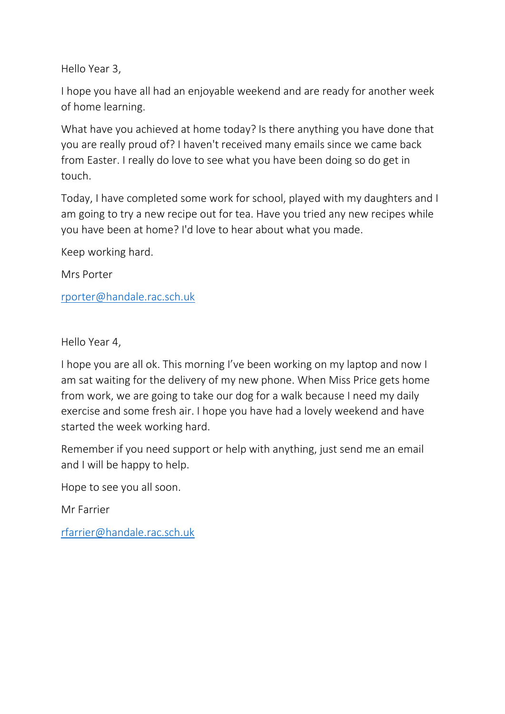Hello Year 3,

I hope you have all had an enjoyable weekend and are ready for another week of home learning.

What have you achieved at home today? Is there anything you have done that you are really proud of? I haven't received many emails since we came back from Easter. I really do love to see what you have been doing so do get in touch.

Today, I have completed some work for school, played with my daughters and I am going to try a new recipe out for tea. Have you tried any new recipes while you have been at home? I'd love to hear about what you made.

Keep working hard.

Mrs Porter

[rporter@handale.rac.sch.uk](mailto:rporter@handale.rac.sch.uk)

Hello Year 4,

I hope you are all ok. This morning I've been working on my laptop and now I am sat waiting for the delivery of my new phone. When Miss Price gets home from work, we are going to take our dog for a walk because I need my daily exercise and some fresh air. I hope you have had a lovely weekend and have started the week working hard.

Remember if you need support or help with anything, just send me an email and I will be happy to help.

Hope to see you all soon.

Mr Farrier

[rfarrier@handale.rac.sch.uk](mailto:rfarrier@handale.rac.sch.uk)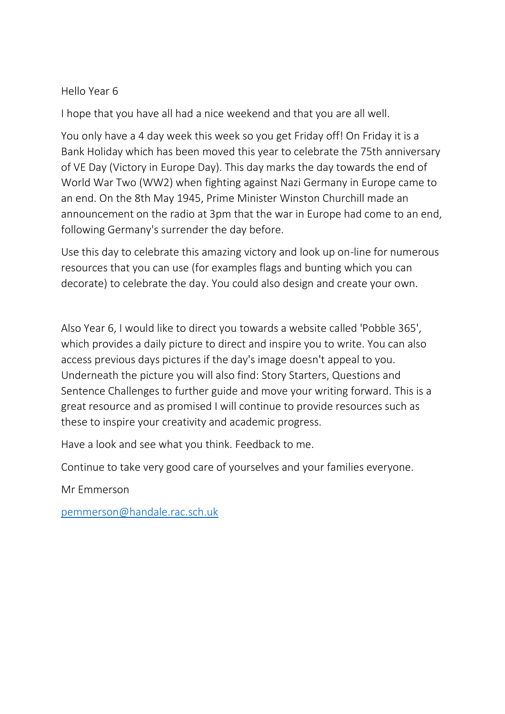## Hello Year 6

I hope that you have all had a nice weekend and that you are all well.

You only have a 4 day week this week so you get Friday off! On Friday it is a Bank Holiday which has been moved this year to celebrate the 75th anniversary of VE Day (Victory in Europe Day). This day marks the day towards the end of World War Two (WW2) when fighting against Nazi Germany in Europe came to an end. On the 8th May 1945, Prime Minister Winston Churchill made an announcement on the radio at 3pm that the war in Europe had come to an end, following Germany's surrender the day before.

Use this day to celebrate this amazing victory and look up on-line for numerous resources that you can use (for examples flags and bunting which you can decorate) to celebrate the day. You could also design and create your own.

Also Year 6, I would like to direct you towards a website called 'Pobble 365', which provides a daily picture to direct and inspire you to write. You can also access previous days pictures if the day's image doesn't appeal to you. Underneath the picture you will also find: Story Starters, Questions and Sentence Challenges to further guide and move your writing forward. This is a great resource and as promised I will continue to provide resources such as these to inspire your creativity and academic progress.

Have a look and see what you think. Feedback to me.

Continue to take very good care of yourselves and your families everyone.

Mr Emmerson

[pemmerson@handale.rac.sch.uk](mailto:pemmerson@handale.rac.sch.uk)